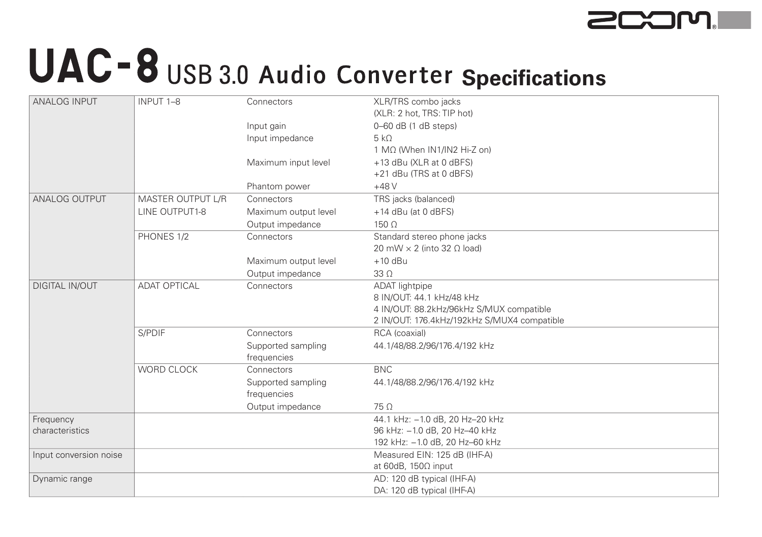

## UAC-8 USB 3.0 Audio Converter Specifications

| <b>ANALOG INPUT</b>    | INPUT 1-8           | Connectors           | XLR/TRS combo jacks                         |
|------------------------|---------------------|----------------------|---------------------------------------------|
|                        |                     |                      | (XLR: 2 hot, TRS: TIP hot)                  |
|                        |                     | Input gain           | $0-60$ dB $(1$ dB steps)                    |
|                        |                     | Input impedance      | $5 k\Omega$                                 |
|                        |                     |                      | 1 MΩ (When IN1/IN2 Hi-Z on)                 |
|                        |                     | Maximum input level  | +13 dBu (XLR at 0 dBFS)                     |
|                        |                     |                      | +21 dBu (TRS at 0 dBFS)                     |
|                        |                     | Phantom power        | $+48V$                                      |
| <b>ANALOG OUTPUT</b>   | MASTER OUTPUT L/R   | Connectors           | TRS jacks (balanced)                        |
|                        | LINE OUTPUT1-8      | Maximum output level | +14 dBu (at 0 dBFS)                         |
|                        |                     | Output impedance     | $150 \Omega$                                |
|                        | PHONES 1/2          | Connectors           | Standard stereo phone jacks                 |
|                        |                     |                      | 20 mW $\times$ 2 (into 32 $\Omega$ load)    |
|                        |                     | Maximum output level | $+10$ dBu                                   |
|                        |                     | Output impedance     | $33\Omega$                                  |
| <b>DIGITAL IN/OUT</b>  | <b>ADAT OPTICAL</b> | Connectors           | <b>ADAT</b> lightpipe                       |
|                        |                     |                      | 8 IN/OUT: 44.1 kHz/48 kHz                   |
|                        |                     |                      | 4 IN/OUT: 88.2kHz/96kHz S/MUX compatible    |
|                        |                     |                      | 2 IN/OUT: 176.4kHz/192kHz S/MUX4 compatible |
|                        | S/PDIF              | Connectors           | RCA (coaxial)                               |
|                        |                     | Supported sampling   | 44.1/48/88.2/96/176.4/192 kHz               |
|                        |                     | frequencies          |                                             |
|                        | WORD CLOCK          | Connectors           | <b>BNC</b>                                  |
|                        |                     | Supported sampling   | 44.1/48/88.2/96/176.4/192 kHz               |
|                        |                     | frequencies          |                                             |
|                        |                     | Output impedance     | $75\Omega$                                  |
| Frequency              |                     |                      | 44.1 kHz: -1.0 dB, 20 Hz-20 kHz             |
| characteristics        |                     |                      | 96 kHz: -1.0 dB, 20 Hz-40 kHz               |
|                        |                     |                      | 192 kHz: -1.0 dB, 20 Hz-60 kHz              |
| Input conversion noise |                     |                      | Measured EIN: 125 dB (IHF-A)                |
|                        |                     |                      | at 60dB, $150\Omega$ input                  |
| Dynamic range          |                     |                      | AD: 120 dB typical (IHF-A)                  |
|                        |                     |                      | DA: 120 dB typical (IHF-A)                  |